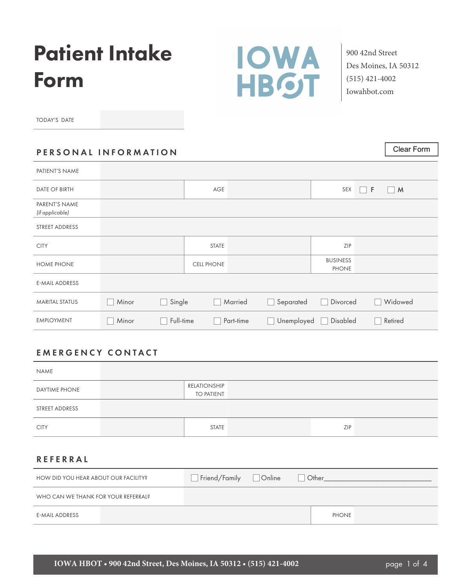# Patient Intake Form



900 42nd Street Des Moines, IA 50312 (515) 421-4002 Iowahbot.com

Clear Form

TODAY'S DATE

## PERSONAL INFORMATION

| PATIENT'S NAME                   |       |           |                   |           |                            |                                 |          |         |
|----------------------------------|-------|-----------|-------------------|-----------|----------------------------|---------------------------------|----------|---------|
| <b>DATE OF BIRTH</b>             |       |           | AGE               |           |                            | SEX                             | $\Box$ F | M       |
| PARENT'S NAME<br>(if applicable) |       |           |                   |           |                            |                                 |          |         |
| STREET ADDRESS                   |       |           |                   |           |                            |                                 |          |         |
| <b>CITY</b>                      |       |           | <b>STATE</b>      |           |                            | ZIP                             |          |         |
| <b>HOME PHONE</b>                |       |           | <b>CELL PHONE</b> |           |                            | <b>BUSINESS</b><br><b>PHONE</b> |          |         |
| <b>E-MAIL ADDRESS</b>            |       |           |                   |           |                            |                                 |          |         |
| <b>MARITAL STATUS</b>            | Minor | Single    |                   | Married   | Separated                  | Divorced                        |          | Widowed |
| <b>EMPLOYMENT</b>                | Minor | Full-time |                   | Part-time | Unemployed<br>$\mathbf{I}$ | Disabled                        |          | Retired |

# EMERGENCY CONTACT

| NAME                 |                                   |     |  |
|----------------------|-----------------------------------|-----|--|
| <b>DAYTIME PHONE</b> | RELATIONSHIP<br><b>TO PATIENT</b> |     |  |
| STREET ADDRESS       |                                   |     |  |
| <b>CITY</b>          | <b>STATE</b>                      | ZIP |  |

## REFERRAL

| HOW DID YOU HEAR ABOUT OUR FACILITY? | Friend/Family Donline | Other        |  |
|--------------------------------------|-----------------------|--------------|--|
| WHO CAN WE THANK FOR YOUR REFERRAL?  |                       |              |  |
| E-MAIL ADDRESS                       |                       | <b>PHONE</b> |  |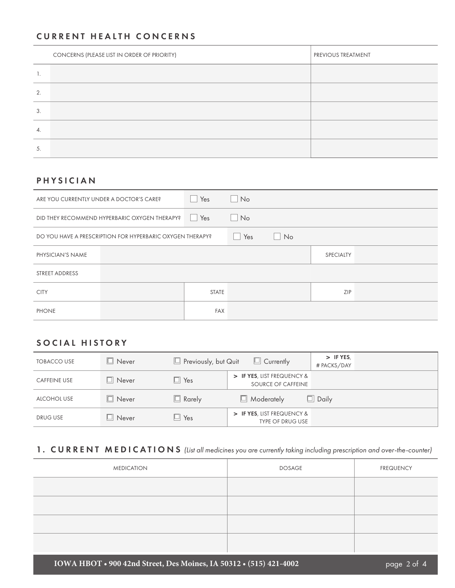#### CURRENT HEALTH CONCERNS

|    | CONCERNS (PLEASE LIST IN ORDER OF PRIORITY) | PREVIOUS TREATMENT |
|----|---------------------------------------------|--------------------|
| ι. |                                             |                    |
| 2. |                                             |                    |
| 3. |                                             |                    |
| 4. |                                             |                    |
| 5. |                                             |                    |

## PHYSICIAN

| ARE YOU CURRENTLY UNDER A DOCTOR'S CARE? |                                                           | Yes                 | $\Box$ No |    |                  |  |
|------------------------------------------|-----------------------------------------------------------|---------------------|-----------|----|------------------|--|
|                                          | DID THEY RECOMMEND HYPERBARIC OXYGEN THERAPY?             | Yes<br>$\mathbb{R}$ | $\Box$ No |    |                  |  |
|                                          | DO YOU HAVE A PRESCRIPTION FOR HYPERBARIC OXYGEN THERAPY? |                     | Yes<br>H  | No |                  |  |
| PHYSICIAN'S NAME                         |                                                           |                     |           |    | <b>SPECIALTY</b> |  |
| STREET ADDRESS                           |                                                           |                     |           |    |                  |  |
| <b>CITY</b>                              |                                                           | <b>STATE</b>        |           |    | ZIP              |  |
| <b>PHONE</b>                             |                                                           | <b>FAX</b>          |           |    |                  |  |

## SOCIAL HISTORY

| <b>TOBACCO USE</b>  | $\Box$ Never   | $\Box$ Previously, but Quit | $\Box$ Currently                                      | > IF YES,<br># PACKS/DAY |
|---------------------|----------------|-----------------------------|-------------------------------------------------------|--------------------------|
| <b>CAFFEINE USE</b> | $\Box$ Never   | $\Box$ Yes                  | > IF YES, LIST FREQUENCY &<br>SOURCE OF CAFFEINE      |                          |
| ALCOHOL USE         | $\Box$ Never   | $\Box$ Rarely               | $\Box$ Moderately                                     | $\Box$ Daily             |
| <b>DRUG USE</b>     | $\Box\,$ Never | $\Box$ Yes                  | > IF YES, LIST FREQUENCY &<br><b>TYPE OF DRUG USE</b> |                          |

# 1. CURRENT MEDICATIONS *(List all medicines you are currently taking including prescription and over-the-counter)*

| <b>MEDICATION</b> | <b>DOSAGE</b> | <b>FREQUENCY</b> |
|-------------------|---------------|------------------|
|                   |               |                  |
|                   |               |                  |
|                   |               |                  |
|                   |               |                  |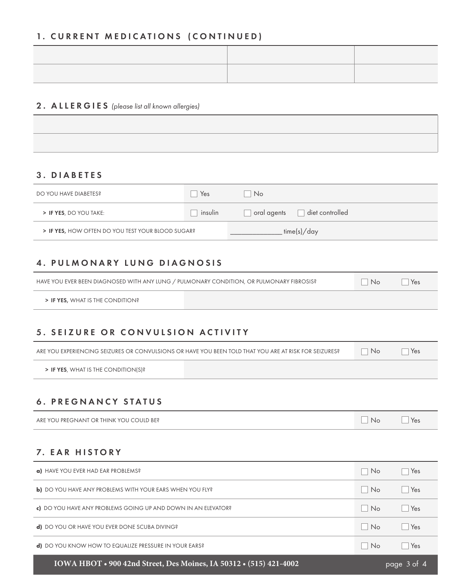## 1. CURRENT MEDICATIONS (CONTINUED)

| ,一个人都是一个人的人,一个人都是一个人的人,一个人都是一个人的人,一个人都是一个人的人,一个人都是一个人的人,一个人都是一个人的人,一个人都是一个人的人,一个人 |  |
|-----------------------------------------------------------------------------------|--|
|                                                                                   |  |
|                                                                                   |  |
|                                                                                   |  |
|                                                                                   |  |
|                                                                                   |  |
|                                                                                   |  |
|                                                                                   |  |
|                                                                                   |  |
|                                                                                   |  |
|                                                                                   |  |
|                                                                                   |  |

#### 2. ALLERGIES *(please list all known allergies)*

## 3. DIABETES

| DO YOU HAVE DIABETES?                             | Yes     | No.                            |
|---------------------------------------------------|---------|--------------------------------|
| > IF YES, DO YOU TAKE:                            | insulin | diet controlled<br>oral agents |
| > IF YES, HOW OFTEN DO YOU TEST YOUR BLOOD SUGAR? |         | . time(s)/day                  |

## 4. PULMONARY LUNG DIAGNOSIS

|                                  | HAVE YOU EVER BEEN DIAGNOSED WITH ANY LUNG / PULMONARY CONDITION, OR PULMONARY FIBROSIS? |  |  |
|----------------------------------|------------------------------------------------------------------------------------------|--|--|
| > IF YES, WHAT IS THE CONDITION? |                                                                                          |  |  |

## 5. SEIZURE OR CONVULSION ACTIVITY

ARE YOU EXPERIENCING SEIZURES OR CONVULSIONS OR HAVE YOU BEEN TOLD THAT YOU ARE AT RISK FOR SEIZURES? No Yes

> IF YES, WHAT IS THE CONDITION(S)?

## 6. PREGNANCY STATUS

ARE YOU PREGNANT OR THINK YOU COULD BE?  $\Box$  No  $\Box$  Yes

## 7. EAR HISTORY

| IOWA HBOT . 900 42nd Street, Des Moines, IA 50312 . (515) 421-4002 |                             | page 3 of 4     |
|--------------------------------------------------------------------|-----------------------------|-----------------|
| <b>d)</b> DO YOU KNOW HOW TO EQUALIZE PRESSURE IN YOUR EARS?       | <b>No</b>                   | Yes             |
| <b>d)</b> DO YOU OR HAVE YOU EVER DONE SCUBA DIVING?               | $N_0$                       | $Y_{\text{es}}$ |
| c) DO YOU HAVE ANY PROBLEMS GOING UP AND DOWN IN AN ELEVATOR?      | $\overline{\phantom{0}}$ No | $Y_{\text{es}}$ |
| <b>b)</b> DO YOU HAVE ANY PROBLEMS WITH YOUR EARS WHEN YOU FLY?    | <b>No</b><br>- 11           | Yes             |
| a) HAVE YOU EVER HAD EAR PROBLEMS?                                 | No.                         | Yes             |